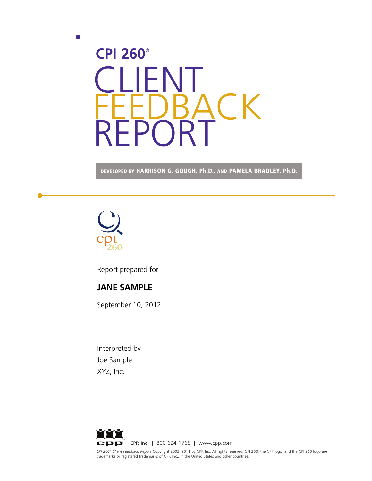# CLIENT **BACK** REPORT **CPI 260®**

**DEVELOPED BY HARRISON G. GOUGH, Ph.D., AND PAMELA BRADLEY, Ph.D.**



Report prepared for

#### **JANE SAMPLE**

September 10, 2012

Interpreted by Joe Sample XYZ, Inc.

*CPI 260® Client Feedback Report* Copyright 2003, 2011 by CPP, Inc. All rights reserved. CPI 260, the CPP logo, and the CPI 260 logo are<br>trademarks or registered trademarks of CPP, Inc., in the United States and other coun **CPP, Inc.** | 800-624-1765 | www.cpp.com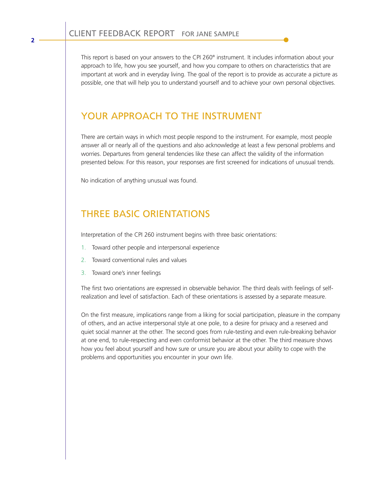This report is based on your answers to the CPI 260® instrument. It includes information about your approach to life, how you see yourself, and how you compare to others on characteristics that are important at work and in everyday living. The goal of the report is to provide as accurate a picture as possible, one that will help you to understand yourself and to achieve your own personal objectives.

#### YOUR APPROACH TO THE INSTRUMENT

There are certain ways in which most people respond to the instrument. For example, most people answer all or nearly all of the questions and also acknowledge at least a few personal problems and worries. Departures from general tendencies like these can affect the validity of the information presented below. For this reason, your responses are first screened for indications of unusual trends.

No indication of anything unusual was found.

## THREE BASIC ORIENTATIONS

Interpretation of the CPI 260 instrument begins with three basic orientations:

- 1. Toward other people and interpersonal experience
- 2. Toward conventional rules and values
- 3. Toward one's inner feelings

The first two orientations are expressed in observable behavior. The third deals with feelings of selfrealization and level of satisfaction. Each of these orientations is assessed by a separate measure.

On the first measure, implications range from a liking for social participation, pleasure in the company of others, and an active interpersonal style at one pole, to a desire for privacy and a reserved and quiet social manner at the other. The second goes from rule-testing and even rule-breaking behavior at one end, to rule-respecting and even conformist behavior at the other. The third measure shows how you feel about yourself and how sure or unsure you are about your ability to cope with the problems and opportunities you encounter in your own life.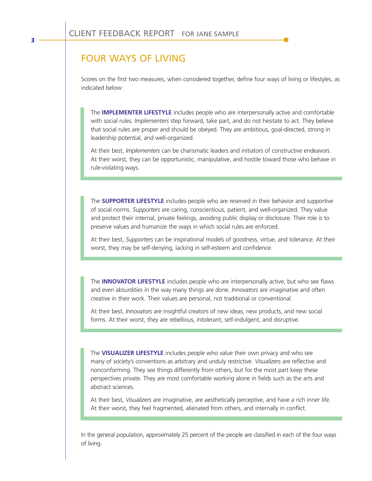#### FOUR WAYS OF LIVING

Scores on the first two measures, when considered together, define four ways of living or lifestyles, as indicated below:

The **IMPLEMENTER LIFESTYLE** includes people who are interpersonally active and comfortable with social rules. *Implementers* step forward, take part, and do not hesitate to act. They believe that social rules are proper and should be obeyed. They are ambitious, goal-directed, strong in leadership potential, and well-organized.

At their best, *Implementers* can be charismatic leaders and initiators of constructive endeavors. At their worst, they can be opportunistic, manipulative, and hostile toward those who behave in rule-violating ways.

The **SUPPORTER LIFESTYLE** includes people who are reserved in their behavior and supportive of social norms. *Supporters* are caring, conscientious, patient, and well-organized. They value and protect their internal, private feelings, avoiding public display or disclosure. Their role is to preserve values and humanize the ways in which social rules are enforced.

At their best, *Supporters* can be inspirational models of goodness, virtue, and tolerance. At their worst, they may be self-denying, lacking in self-esteem and confidence.

The **INNOVATOR LIFESTYLE** includes people who are interpersonally active, but who see flaws and even absurdities in the way many things are done. *Innovators* are imaginative and often creative in their work. Their values are personal, not traditional or conventional.

At their best, *Innovators* are insightful creators of new ideas, new products, and new social forms. At their worst, they are rebellious, intolerant, self-indulgent, and disruptive.

The **VISUALIZER LIFESTYLE** includes people who value their own privacy and who see many of society's conventions as arbitrary and unduly restrictive. *Visualizers* are reflective and nonconforming. They see things differently from others, but for the most part keep these perspectives private. They are most comfortable working alone in fields such as the arts and abstract sciences.

At their best, *Visualizers* are imaginative, are aesthetically perceptive, and have a rich inner life. At their worst, they feel fragmented, alienated from others, and internally in conflict.

In the general population, approximately 25 percent of the people are classified in each of the four ways of living.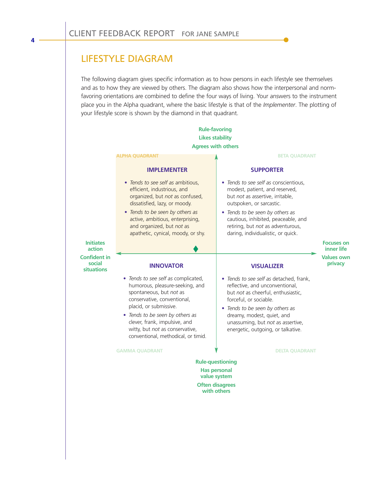## LIFESTYLE DIAGRAM

**4**

The following diagram gives specific information as to how persons in each lifestyle see themselves and as to how they are viewed by others. The diagram also shows how the interpersonal and normfavoring orientations are combined to define the four ways of living. Your answers to the instrument place you in the Alpha quadrant, where the basic lifestyle is that of the *Implementer*. The plotting of your lifestyle score is shown by the diamond in that quadrant.

| <b>Rule-favoring</b>                                                                                    |                                                                                                                                                                                                                                                                                                          |                                                                                                                                                                                                                                                                                        |                                 |
|---------------------------------------------------------------------------------------------------------|----------------------------------------------------------------------------------------------------------------------------------------------------------------------------------------------------------------------------------------------------------------------------------------------------------|----------------------------------------------------------------------------------------------------------------------------------------------------------------------------------------------------------------------------------------------------------------------------------------|---------------------------------|
| <b>Likes stability</b>                                                                                  |                                                                                                                                                                                                                                                                                                          |                                                                                                                                                                                                                                                                                        |                                 |
| <b>Agrees with others</b>                                                                               |                                                                                                                                                                                                                                                                                                          |                                                                                                                                                                                                                                                                                        |                                 |
|                                                                                                         | <b>ALPHA QUADRANT</b>                                                                                                                                                                                                                                                                                    | <b>BETA QUADRANT</b>                                                                                                                                                                                                                                                                   |                                 |
|                                                                                                         | <b>IMPLEMENTER</b>                                                                                                                                                                                                                                                                                       | <b>SUPPORTER</b>                                                                                                                                                                                                                                                                       |                                 |
|                                                                                                         | • Tends to see self as ambitious,<br>efficient, industrious, and<br>organized, but not as confused,<br>dissatisfied, lazy, or moody.                                                                                                                                                                     | • Tends to see self as conscientious,<br>modest, patient, and reserved,<br>but not as assertive, irritable,<br>outspoken, or sarcastic.                                                                                                                                                |                                 |
|                                                                                                         | • Tends to be seen by others as<br>active, ambitious, enterprising,<br>and organized, but not as<br>apathetic, cynical, moody, or shy.                                                                                                                                                                   | • Tends to be seen by others as<br>cautious, inhibited, peaceable, and<br>retiring, but not as adventurous,<br>daring, individualistic, or quick.                                                                                                                                      |                                 |
| <b>Initiates</b><br>action                                                                              |                                                                                                                                                                                                                                                                                                          |                                                                                                                                                                                                                                                                                        | <b>Focuses on</b><br>inner life |
| <b>Confident in</b><br>social<br><b>situations</b>                                                      | <b>INNOVATOR</b>                                                                                                                                                                                                                                                                                         | <b>VISUALIZER</b>                                                                                                                                                                                                                                                                      | <b>Values own</b><br>privacy    |
|                                                                                                         | • Tends to see self as complicated,<br>humorous, pleasure-seeking, and<br>spontaneous, but not as<br>conservative, conventional,<br>placid, or submissive.<br>• Tends to be seen by others as<br>clever, frank, impulsive, and<br>witty, but not as conservative,<br>conventional, methodical, or timid. | • Tends to see self as detached, frank,<br>reflective, and unconventional,<br>but not as cheerful, enthusiastic,<br>forceful, or sociable.<br>• Tends to be seen by others as<br>dreamy, modest, quiet, and<br>unassuming, but not as assertive,<br>energetic, outgoing, or talkative. |                                 |
|                                                                                                         | <b>GAMMA QUADRANT</b>                                                                                                                                                                                                                                                                                    | <b>DELTA QUADRANT</b>                                                                                                                                                                                                                                                                  |                                 |
| <b>Rule-questioning</b><br><b>Has personal</b><br>value system<br><b>Often disagrees</b><br>with others |                                                                                                                                                                                                                                                                                                          |                                                                                                                                                                                                                                                                                        |                                 |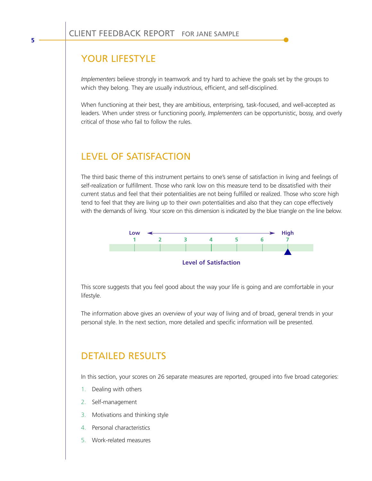## YOUR LIFESTYLE

*Implementers* believe strongly in teamwork and try hard to achieve the goals set by the groups to which they belong. They are usually industrious, efficient, and self-disciplined.

When functioning at their best, they are ambitious, enterprising, task-focused, and well-accepted as leaders. When under stress or functioning poorly, *Implementers* can be opportunistic, bossy, and overly critical of those who fail to follow the rules.

## LEVEL OF SATISFACTION

The third basic theme of this instrument pertains to one's sense of satisfaction in living and feelings of self-realization or fulfillment. Those who rank low on this measure tend to be dissatisfied with their current status and feel that their potentialities are not being fulfilled or realized. Those who score high tend to feel that they are living up to their own potentialities and also that they can cope effectively with the demands of living. Your score on this dimension is indicated by the blue triangle on the line below.



This score suggests that you feel good about the way your life is going and are comfortable in your lifestyle.

The information above gives an overview of your way of living and of broad, general trends in your personal style. In the next section, more detailed and specific information will be presented.

## DETAILED RESULTS

In this section, your scores on 26 separate measures are reported, grouped into five broad categories:

- 1. Dealing with others
- 2. Self-management
- 3. Motivations and thinking style
- 4. Personal characteristics
- 5. Work-related measures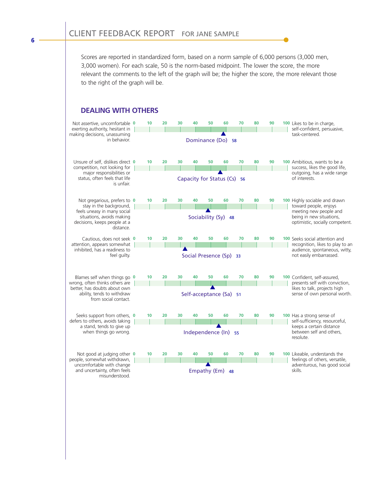Scores are reported in standardized form, based on a norm sample of 6,000 persons (3,000 men, 3,000 women). For each scale, 50 is the norm-based midpoint. The lower the score, the more relevant the comments to the left of the graph will be; the higher the score, the more relevant those to the right of the graph will be.

#### **DEALING WITH OTHERS**



**6**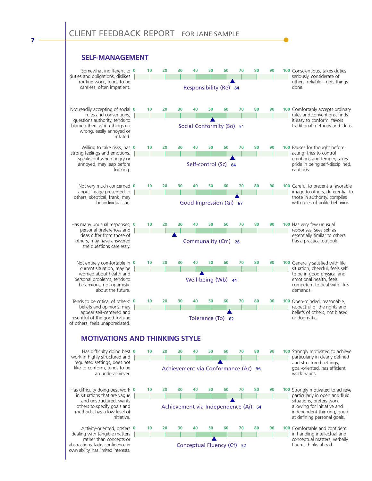#### **SELF-MANAGEMENT**

**7**

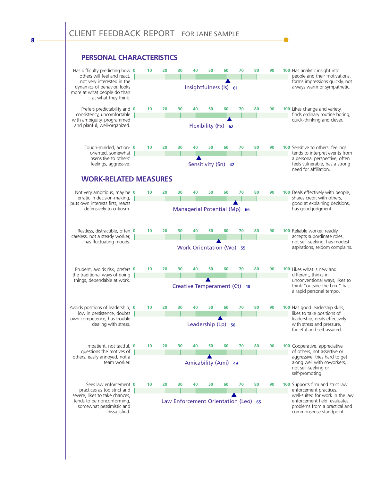#### **PERSONAL CHARACTERISTICS**



**8**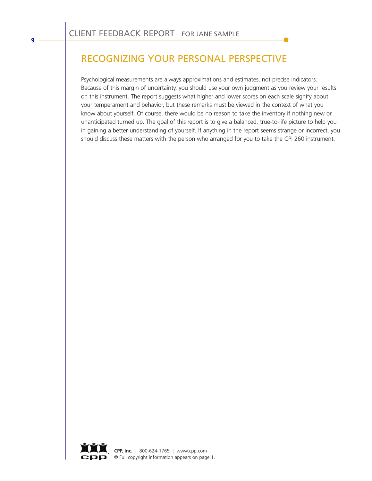# RECOGNIZING YOUR PERSONAL PERSPECTIVE

Psychological measurements are always approximations and estimates, not precise indicators. Because of this margin of uncertainty, you should use your own judgment as you review your results on this instrument. The report suggests what higher and lower scores on each scale signify about your temperament and behavior, but these remarks must be viewed in the context of what you know about yourself. Of course, there would be no reason to take the inventory if nothing new or unanticipated turned up. The goal of this report is to give a balanced, true-to-life picture to help you in gaining a better understanding of yourself. If anything in the report seems strange or incorrect, you should discuss these matters with the person who arranged for you to take the CPI 260 instrument.